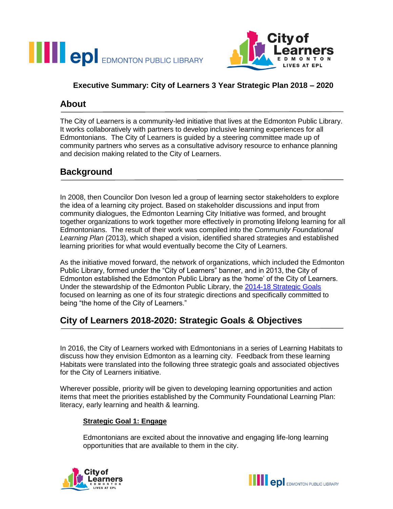



### **Executive Summary: City of Learners 3 Year Strategic Plan 2018 – 2020**

### **About**

The City of Learners is a community-led initiative that lives at the Edmonton Public Library. It works collaboratively with partners to develop inclusive learning experiences for all Edmontonians. The City of Learners is guided by a steering committee made up of community partners who serves as a consultative advisory resource to enhance planning and decision making related to the City of Learners.

## **Background**

In 2008, then Councilor Don Iveson led a group of learning sector stakeholders to explore the idea of a learning city project. Based on stakeholder discussions and input from community dialogues, the Edmonton Learning City Initiative was formed, and brought together organizations to work together more effectively in promoting lifelong learning for all Edmontonians. The result of their work was compiled into the *Community Foundational Learning Plan* (2013), which shaped a vision, identified shared strategies and established learning priorities for what would eventually become the City of Learners.

As the initiative moved forward, the network of organizations, which included the Edmonton Public Library, formed under the "City of Learners" banner, and in 2013, the City of Edmonton established the Edmonton Public Library as the 'home' of the City of Learners. Under the stewardship of the Edmonton Public Library, the [2014-18 Strategic Goals](https://www.epl.ca/sites/default/files/pdf/distribution-community-information/epl_buinessplan_2013_oct17.pdf)  focused on learning as one of its four strategic directions and specifically committed to being "the home of the City of Learners."

# **City of Learners 2018-2020: Strategic Goals & Objectives**

In 2016, the City of Learners worked with Edmontonians in a series of Learning Habitats to discuss how they envision Edmonton as a learning city. Feedback from these learning Habitats were translated into the following three strategic goals and associated objectives for the City of Learners initiative.

Wherever possible, priority will be given to developing learning opportunities and action items that meet the priorities established by the Community Foundational Learning Plan: literacy, early learning and health & learning.

#### **Strategic Goal 1: Engage**

Edmontonians are excited about the innovative and engaging life-long learning opportunities that are available to them in the city.